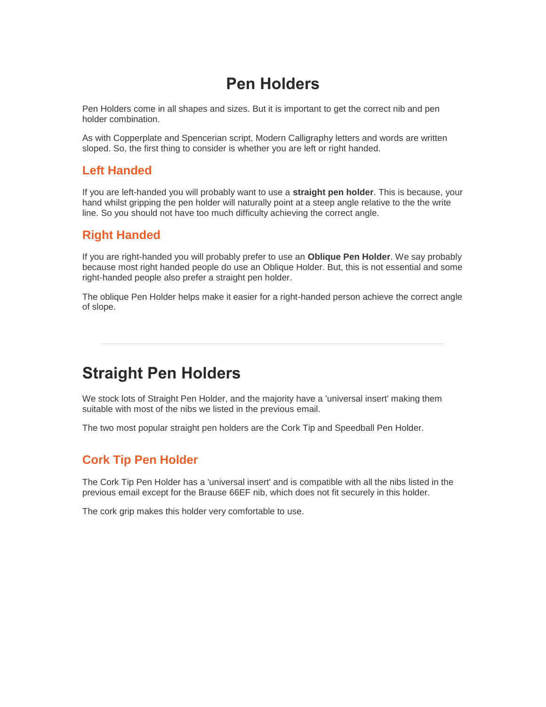## **Pen Holders**

Pen Holders come in all shapes and sizes. But it is important to get the correct nib and pen holder combination.

As with Copperplate and Spencerian script, Modern Calligraphy letters and words are written sloped. So, the first thing to consider is whether you are left or right handed.

#### **Left Handed**

If you are left-handed you will probably want to use a **straight pen holder**. This is because, your hand whilst gripping the pen holder will naturally point at a steep angle relative to the the write line. So you should not have too much difficulty achieving the correct angle.

#### **Right Handed**

If you are right-handed you will probably prefer to use an **Oblique Pen Holder**. We say probably because most right handed people do use an Oblique Holder. But, this is not essential and some right-handed people also prefer a straight pen holder.

The oblique Pen Holder helps make it easier for a right-handed person achieve the correct angle of slope.

### **Straight Pen Holders**

We stock lots of Straight Pen Holder, and the majority have a 'universal insert' making them suitable with most of the nibs we listed in the previous email.

The two most popular straight pen holders are the Cork Tip and Speedball Pen Holder.

### **Cork Tip Pen Holder**

The Cork Tip Pen Holder has a 'universal insert' and is compatible with all the nibs listed in the previous email except for the Brause 66EF nib, which does not fit securely in this holder.

The cork grip makes this holder very comfortable to use.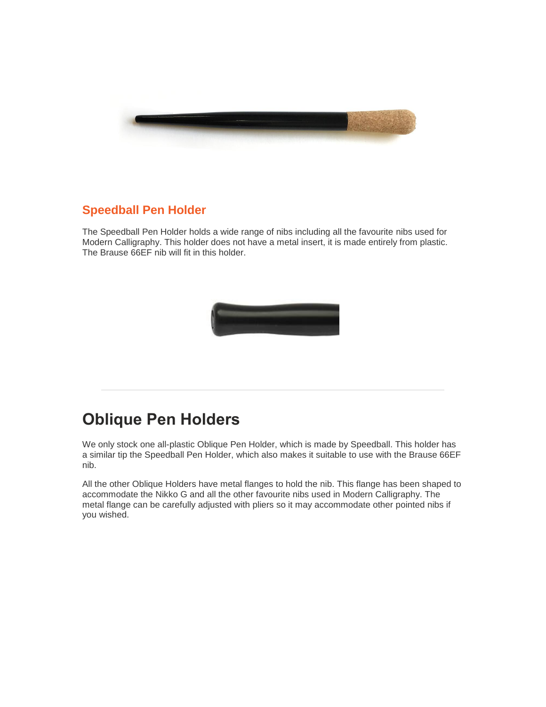

### **Speedball Pen Holder**

The Speedball Pen Holder holds a wide range of nibs including all the favourite nibs used for Modern Calligraphy. This holder does not have a metal insert, it is made entirely from plastic. The Brause 66EF nib will fit in this holder.



# **Oblique Pen Holders**

We only stock one all-plastic Oblique Pen Holder, which is made by Speedball. This holder has a similar tip the Speedball Pen Holder, which also makes it suitable to use with the Brause 66EF nib.

All the other Oblique Holders have metal flanges to hold the nib. This flange has been shaped to accommodate the Nikko G and all the other favourite nibs used in Modern Calligraphy. The metal flange can be carefully adjusted with pliers so it may accommodate other pointed nibs if you wished.